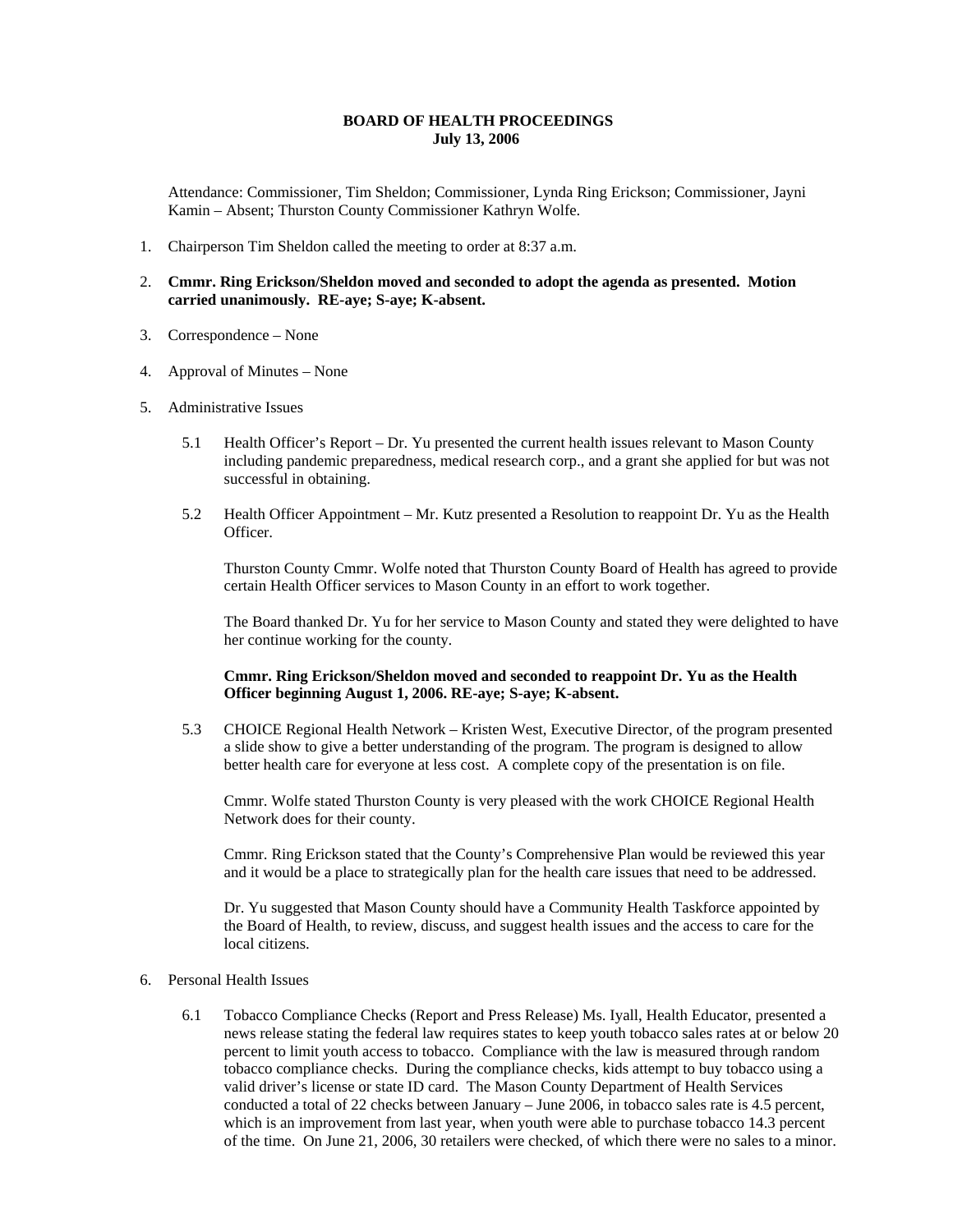## **BOARD OF HEALTH PROCEEDINGS July 13, 2006**

Attendance: Commissioner, Tim Sheldon; Commissioner, Lynda Ring Erickson; Commissioner, Jayni Kamin – Absent; Thurston County Commissioner Kathryn Wolfe.

- 1. Chairperson Tim Sheldon called the meeting to order at 8:37 a.m.
- 2. **Cmmr. Ring Erickson/Sheldon moved and seconded to adopt the agenda as presented. Motion carried unanimously. RE-aye; S-aye; K-absent.**
- 3. Correspondence None
- 4. Approval of Minutes None
- 5. Administrative Issues
	- 5.1 Health Officer's Report Dr. Yu presented the current health issues relevant to Mason County including pandemic preparedness, medical research corp., and a grant she applied for but was not successful in obtaining.
	- 5.2 Health Officer Appointment Mr. Kutz presented a Resolution to reappoint Dr. Yu as the Health Officer.

Thurston County Cmmr. Wolfe noted that Thurston County Board of Health has agreed to provide certain Health Officer services to Mason County in an effort to work together.

The Board thanked Dr. Yu for her service to Mason County and stated they were delighted to have her continue working for the county.

**Cmmr. Ring Erickson/Sheldon moved and seconded to reappoint Dr. Yu as the Health Officer beginning August 1, 2006. RE-aye; S-aye; K-absent.**

5.3 CHOICE Regional Health Network – Kristen West, Executive Director, of the program presented a slide show to give a better understanding of the program. The program is designed to allow better health care for everyone at less cost. A complete copy of the presentation is on file.

Cmmr. Wolfe stated Thurston County is very pleased with the work CHOICE Regional Health Network does for their county.

Cmmr. Ring Erickson stated that the County's Comprehensive Plan would be reviewed this year and it would be a place to strategically plan for the health care issues that need to be addressed.

Dr. Yu suggested that Mason County should have a Community Health Taskforce appointed by the Board of Health, to review, discuss, and suggest health issues and the access to care for the local citizens.

- 6. Personal Health Issues
	- 6.1 Tobacco Compliance Checks (Report and Press Release) Ms. Iyall, Health Educator, presented a news release stating the federal law requires states to keep youth tobacco sales rates at or below 20 percent to limit youth access to tobacco. Compliance with the law is measured through random tobacco compliance checks. During the compliance checks, kids attempt to buy tobacco using a valid driver's license or state ID card. The Mason County Department of Health Services conducted a total of 22 checks between January – June 2006, in tobacco sales rate is 4.5 percent, which is an improvement from last year, when youth were able to purchase tobacco 14.3 percent of the time. On June 21, 2006, 30 retailers were checked, of which there were no sales to a minor.